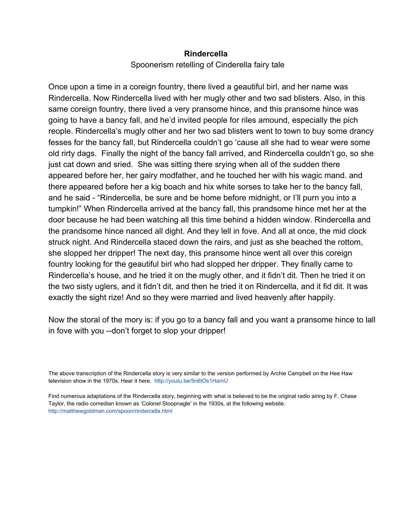## **Rindercella**

## Spoonerism retelling of Cinderella fairy tale

Once upon a time in a coreign fountry, there lived a geautiful birl, and her name was Rindercella. Now Rindercella lived with her mugly other and two sad blisters. Also, in this same coreign fountry, there lived a very pransome hince, and this pransome hince was going to have a bancy fall, and he'd invited people for riles amound, especially the pich reople. Rindercella's mugly other and her two sad blisters went to town to buy some drancy fesses for the bancy fall, but Rindercella couldn't go 'cause all she had to wear were some old rirty dags. Finally the night of the bancy fall arrived, and Rindercella couldn't go, so she just cat down and sried. She was sitting there srying when all of the sudden there appeared before her, her gairy modfather, and he touched her with his wagic mand. and there appeared before her a kig boach and hix white sorses to take her to the bancy fall, and he said "Rindercella, be sure and be home before midnight, or I'll purn you into a tumpkin!" When Rindercella arrived at the bancy fall, this prandsome hince met her at the door because he had been watching all this time behind a hidden window. Rindercella and the prandsome hince nanced all dight. And they lell in fove. And all at once, the mid clock struck night. And Rindercella staced down the rairs, and just as she beached the rottom, she slopped her dripper! The next day, this pransome hince went all over this coreign fountry looking for the geautiful birl who had slopped her dripper. They finally came to Rindercella's house, and he tried it on the mugly other, and it fidn't dit. Then he tried it on the two sisty uglers, and it fidn't dit, and then he tried it on Rindercella, and it fid dit. It was exactly the sight rize! And so they were married and lived heavenly after happily.

Now the storal of the mory is: if you go to a bancy fall and you want a pransome hince to lall in fove with you --don't forget to slop your dripper!

The above transcription of the Rindercella story is very similar to the version performed by Archie Campbell on the Hee Haw television show in the 1970s. Hear it here. <http://youtu.be/5n6tOs1HamU>

Find numerous adaptations of the Rindercella story, beginning with what is believed to be the original radio airing by F. Chase Taylor, the radio comedian known as 'Colonel Stoopnagle' in the 1930s, at the following website. [http://matthewgoldman.com/spoon/rindercella.html](http://www.google.com/url?q=http%3A%2F%2Fmatthewgoldman.com%2Fspoon%2Frindercella.html&sa=D&sntz=1&usg=AFQjCNENpDh6IgeWAPsLfNXm-dwz40OvDQ)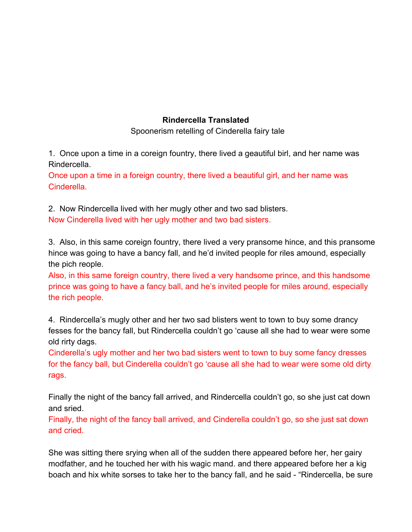## **Rindercella Translated**

Spoonerism retelling of Cinderella fairy tale

1. Once upon a time in a coreign fountry, there lived a geautiful birl, and her name was Rindercella.

Once upon a time in a foreign country, there lived a beautiful girl, and her name was Cinderella.

2. Now Rindercella lived with her mugly other and two sad blisters. Now Cinderella lived with her ugly mother and two bad sisters.

3. Also, in this same coreign fountry, there lived a very pransome hince, and this pransome hince was going to have a bancy fall, and he'd invited people for riles amound, especially the pich reople.

Also, in this same foreign country, there lived a very handsome prince, and this handsome prince was going to have a fancy ball, and he's invited people for miles around, especially the rich people.

4. Rindercella's mugly other and her two sad blisters went to town to buy some drancy fesses for the bancy fall, but Rindercella couldn't go 'cause all she had to wear were some old rirty dags.

Cinderella's ugly mother and her two bad sisters went to town to buy some fancy dresses for the fancy ball, but Cinderella couldn't go 'cause all she had to wear were some old dirty rags.

Finally the night of the bancy fall arrived, and Rindercella couldn't go, so she just cat down and sried.

Finally, the night of the fancy ball arrived, and Cinderella couldn't go, so she just sat down and cried.

She was sitting there srying when all of the sudden there appeared before her, her gairy modfather, and he touched her with his wagic mand. and there appeared before her a kig boach and hix white sorses to take her to the bancy fall, and he said "Rindercella, be sure